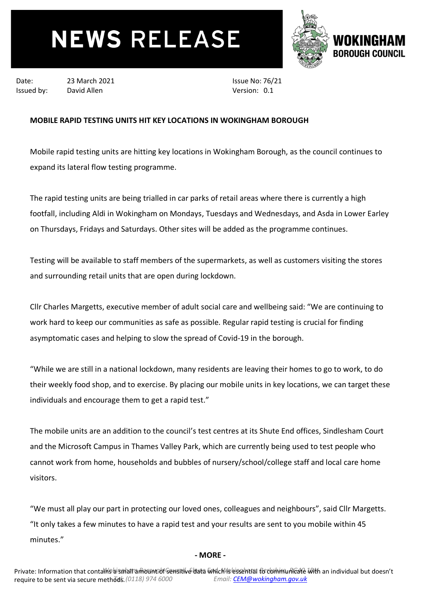## **NEWS RELEASE**



Date: 23 March 2021 Issued by: David Allen

Issue No: 76/21 Version: 0.1

## **MOBILE RAPID TESTING UNITS HIT KEY LOCATIONS IN WOKINGHAM BOROUGH**

Mobile rapid testing units are hitting key locations in Wokingham Borough, as the council continues to expand its lateral flow testing programme.

The rapid testing units are being trialled in car parks of retail areas where there is currently a high footfall, including Aldi in Wokingham on Mondays, Tuesdays and Wednesdays, and Asda in Lower Earley on Thursdays, Fridays and Saturdays. Other sites will be added as the programme continues.

Testing will be available to staff members of the supermarkets, as well as customers visiting the stores and surrounding retail units that are open during lockdown.

Cllr Charles Margetts, executive member of adult social care and wellbeing said: "We are continuing to work hard to keep our communities as safe as possible. Regular rapid testing is crucial for finding asymptomatic cases and helping to slow the spread of Covid-19 in the borough.

"While we are still in a national lockdown, many residents are leaving their homes to go to work, to do their weekly food shop, and to exercise. By placing our mobile units in key locations, we can target these individuals and encourage them to get a rapid test."

The mobile units are an addition to the council's test centres at its Shute End offices, Sindlesham Court and the Microsoft Campus in Thames Valley Park, which are currently being used to test people who cannot work from home, households and bubbles of nursery/school/college staff and local care home visitors.

"We must all play our part in protecting our loved ones, colleagues and neighbours", said Cllr Margetts. "It only takes a few minutes to have a rapid test and your results are sent to you mobile within 45 minutes."

## **- MORE -**